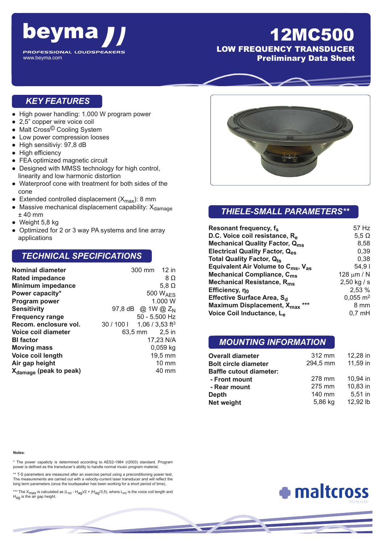

# 12MC500

LOW FREQUENCY TRANSDUCER Preliminary Data Sheet

#### *KEY FEATURES*

- High power handling: 1.000 W program power
- 2,5" copper wire voice coil
- Malt Cross<sup>©</sup> Cooling System
- Low power compression looses
- High sensitiviy: 97,8 dB
- High efficiency
- FEA optimized magnetic circuit
- Designed with MMSS technology for high control, linearity and low harmonic distortion
- Waterproof cone with treatment for both sides of the cone
- Extended controlled displacement  $(X_{max})$ : 8 mm
- $\bullet$  Massive mechanical displacement capability:  $X_{\text{damage}}$ ± 40 mm
- $\bullet$  Weight 5,8 kg
- Optimized for 2 or 3 way PA systems and line array applications

#### *TECHNICAL SPECIFICATIONS*

| <b>Nominal diameter</b>            | 300 mm 12 in                          |
|------------------------------------|---------------------------------------|
| <b>Rated impedance</b>             | 8Ω                                    |
| <b>Minimum impedance</b>           | 5,8 $\Omega$                          |
| Power capacity*                    | 500 $W_{\text{AFS}}$                  |
| Program power                      | 1.000 W                               |
| <b>Sensitivity</b>                 | 97,8 dB @ 1W @ $Z_{N}$                |
| <b>Frequency range</b>             | 50 - 5.500 Hz                         |
| Recom. enclosure vol.              | 1,06 / 3,53 ft <sup>3</sup><br>30/100 |
| Voice coil diameter                | 63,5 mm 2,5 in                        |
| <b>BI</b> factor                   | 17,23 N/A                             |
| <b>Moving mass</b>                 | $0,059$ kg                            |
| Voice coil length                  | 19,5 mm                               |
| Air gap height                     | 10 mm                                 |
| X <sub>damage</sub> (peak to peak) | 40 mm                                 |



### *THIELE-SMALL PARAMETERS\*\**

| Resonant frequency, fs                                     | 57 Hz                 |
|------------------------------------------------------------|-----------------------|
| D.C. Voice coil resistance, R <sub>e</sub>                 | 5,5 $\Omega$          |
| <b>Mechanical Quality Factor, Qms</b>                      | 8,58                  |
| <b>Electrical Quality Factor, Qes</b>                      | 0,39                  |
| Total Quality Factor, Q <sub>ts</sub>                      | 0,38                  |
| Equivalent Air Volume to $C_{\text{ms}}$ , $V_{\text{as}}$ | 54.91                 |
| Mechanical Compliance, C <sub>ms</sub>                     | 128 $\mu$ m / N       |
| Mechanical Resistance, R <sub>ms</sub>                     | $2,50$ kg / s         |
| Efficiency, $\eta_0$                                       | 2,53 %                |
| Effective Surface Area, S <sub>d</sub>                     | $0,055 \; \text{m}^2$ |
| Maximum Displacement, X <sub>max</sub> ***                 | 8 mm                  |
| Voice Coil Inductance, Le                                  | $0,7$ mH              |

#### *MOUNTING INFORMATION*

| <b>Overall diameter</b>        | 312 mm   | 12,28 in  |
|--------------------------------|----------|-----------|
| <b>Bolt circle diameter</b>    | 294,5 mm | 11,59 in  |
| <b>Baffle cutout diameter:</b> |          |           |
| - Front mount                  | 278 mm   | 10.94 in  |
| - Rear mount                   | 275 mm   | 10,83 in  |
| Depth                          | 140 mm   | $5.51$ in |
| Net weight                     | 5,86 kg  | 12,92 lb  |

#### **Notes**:

\* The power capaticty is determined according to AES2-1984 (r2003) standard. Program power is defined as the transducer's ability to handle normal music program material.

\*\* T-S parameters are measured after an exercise period using a preconditioning power test. The measurements are carried out with a velocity-current laser transducer and will reflect the long term parameters (once the loudspeaker has been working for a short period of time).

\*\*\* The X<sub>max</sub> is calculated as  $(L_{VC} - H_{agg})/2 + (H_{agg}/3, 5)$ , where  $L_{VC}$  is the voice coil length and  $H_{\text{ag}}$  is the air gap height.